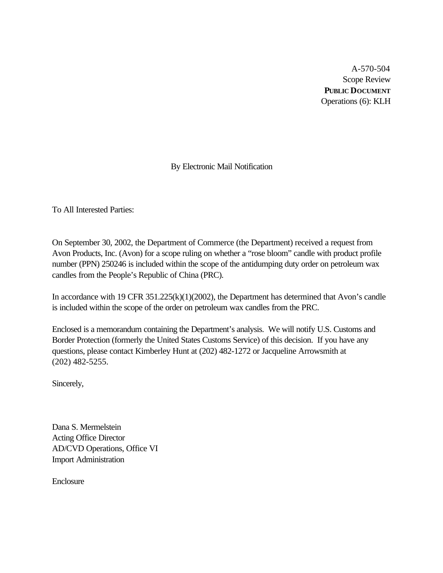A-570-504 Scope Review **PUBLIC DOCUMENT** Operations (6): KLH

By Electronic Mail Notification

To All Interested Parties:

On September 30, 2002, the Department of Commerce (the Department) received a request from Avon Products, Inc. (Avon) for a scope ruling on whether a "rose bloom" candle with product profile number (PPN) 250246 is included within the scope of the antidumping duty order on petroleum wax candles from the People's Republic of China (PRC).

In accordance with 19 CFR 351.225(k)(1)(2002), the Department has determined that Avon's candle is included within the scope of the order on petroleum wax candles from the PRC.

Enclosed is a memorandum containing the Department's analysis. We will notify U.S. Customs and Border Protection (formerly the United States Customs Service) of this decision. If you have any questions, please contact Kimberley Hunt at (202) 482-1272 or Jacqueline Arrowsmith at (202) 482-5255.

Sincerely,

Dana S. Mermelstein Acting Office Director AD/CVD Operations, Office VI Import Administration

Enclosure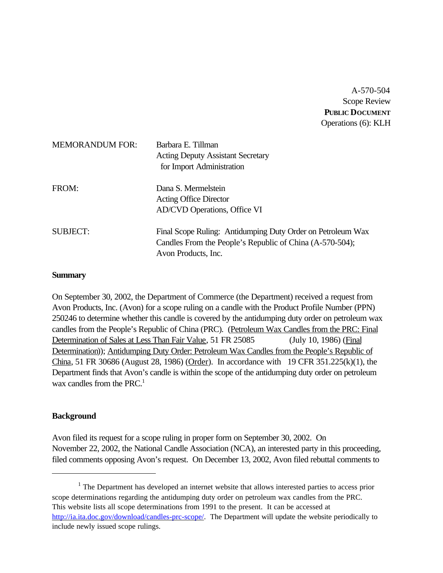A-570-504 Scope Review **PUBLIC DOCUMENT** Operations (6): KLH

| <b>MEMORANDUM FOR:</b> | Barbara E. Tillman<br><b>Acting Deputy Assistant Secretary</b><br>for Import Administration                                                    |
|------------------------|------------------------------------------------------------------------------------------------------------------------------------------------|
| FROM:                  | Dana S. Mermelstein<br><b>Acting Office Director</b><br>AD/CVD Operations, Office VI                                                           |
| <b>SUBJECT:</b>        | Final Scope Ruling: Antidumping Duty Order on Petroleum Wax<br>Candles From the People's Republic of China (A-570-504);<br>Avon Products, Inc. |

### **Summary**

On September 30, 2002, the Department of Commerce (the Department) received a request from Avon Products, Inc. (Avon) for a scope ruling on a candle with the Product Profile Number (PPN) 250246 to determine whether this candle is covered by the antidumping duty order on petroleum wax candles from the People's Republic of China (PRC). (Petroleum Wax Candles from the PRC: Final Determination of Sales at Less Than Fair Value, 51 FR 25085 (July 10, 1986) (Final Determination)); Antidumping Duty Order: Petroleum Wax Candles from the People's Republic of China, 51 FR 30686 (August 28, 1986) (Order). In accordance with 19 CFR 351.225(k)(1), the Department finds that Avon's candle is within the scope of the antidumping duty order on petroleum wax candles from the PRC.<sup>1</sup>

## **Background**

Avon filed its request for a scope ruling in proper form on September 30, 2002. On November 22, 2002, the National Candle Association (NCA), an interested party in this proceeding, filed comments opposing Avon's request. On December 13, 2002, Avon filed rebuttal comments to

 $<sup>1</sup>$  The Department has developed an internet website that allows interested parties to access prior</sup> scope determinations regarding the antidumping duty order on petroleum wax candles from the PRC. This website lists all scope determinations from 1991 to the present. It can be accessed at http://ia.ita.doc.gov/download/candles-prc-scope/. The Department will update the website periodically to include newly issued scope rulings.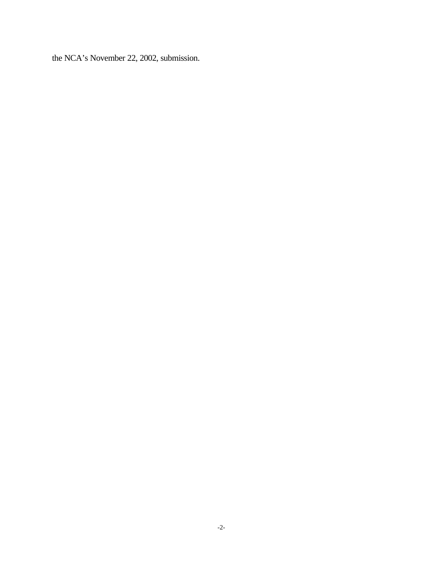the NCA's November 22, 2002, submission.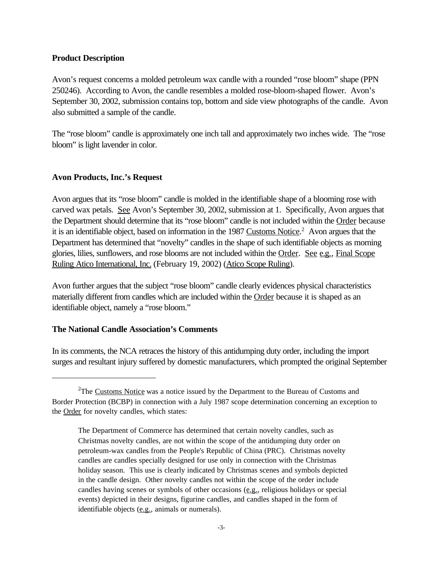# **Product Description**

Avon's request concerns a molded petroleum wax candle with a rounded "rose bloom" shape (PPN 250246). According to Avon, the candle resembles a molded rose-bloom-shaped flower. Avon's September 30, 2002, submission contains top, bottom and side view photographs of the candle. Avon also submitted a sample of the candle.

The "rose bloom" candle is approximately one inch tall and approximately two inches wide. The "rose bloom" is light lavender in color.

# **Avon Products, Inc.'s Request**

Avon argues that its "rose bloom" candle is molded in the identifiable shape of a blooming rose with carved wax petals. See Avon's September 30, 2002, submission at 1. Specifically, Avon argues that the Department should determine that its "rose bloom" candle is not included within the Order because it is an identifiable object, based on information in the 1987 Customs Notice.<sup>2</sup> Avon argues that the Department has determined that "novelty" candles in the shape of such identifiable objects as morning glories, lilies, sunflowers, and rose blooms are not included within the Order. See e.g., Final Scope Ruling Atico International, Inc. (February 19, 2002) (Atico Scope Ruling).

Avon further argues that the subject "rose bloom" candle clearly evidences physical characteristics materially different from candles which are included within the Order because it is shaped as an identifiable object, namely a "rose bloom."

## **The National Candle Association's Comments**

In its comments, the NCA retraces the history of this antidumping duty order, including the import surges and resultant injury suffered by domestic manufacturers, which prompted the original September

 $2$ The Customs Notice was a notice issued by the Department to the Bureau of Customs and Border Protection (BCBP) in connection with a July 1987 scope determination concerning an exception to the Order for novelty candles, which states:

The Department of Commerce has determined that certain novelty candles, such as Christmas novelty candles, are not within the scope of the antidumping duty order on petroleum-wax candles from the People's Republic of China (PRC). Christmas novelty candles are candles specially designed for use only in connection with the Christmas holiday season. This use is clearly indicated by Christmas scenes and symbols depicted in the candle design. Other novelty candles not within the scope of the order include candles having scenes or symbols of other occasions (e.g., religious holidays or special events) depicted in their designs, figurine candles, and candles shaped in the form of identifiable objects  $(\underline{e.g.})$ , animals or numerals).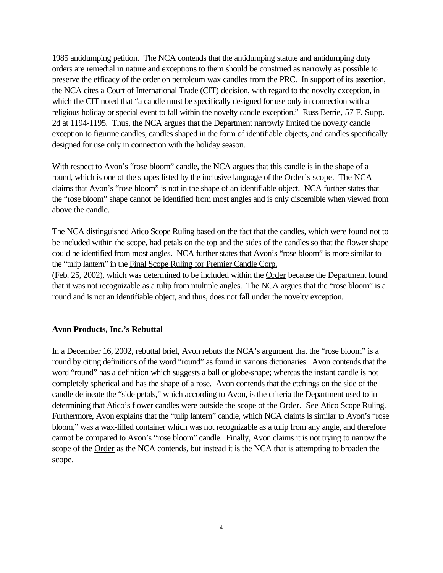1985 antidumping petition. The NCA contends that the antidumping statute and antidumping duty orders are remedial in nature and exceptions to them should be construed as narrowly as possible to preserve the efficacy of the order on petroleum wax candles from the PRC. In support of its assertion, the NCA cites a Court of International Trade (CIT) decision, with regard to the novelty exception, in which the CIT noted that "a candle must be specifically designed for use only in connection with a religious holiday or special event to fall within the novelty candle exception." Russ Berrie, 57 F. Supp. 2d at 1194-1195. Thus, the NCA argues that the Department narrowly limited the novelty candle exception to figurine candles, candles shaped in the form of identifiable objects, and candles specifically designed for use only in connection with the holiday season.

With respect to Avon's "rose bloom" candle, the NCA argues that this candle is in the shape of a round, which is one of the shapes listed by the inclusive language of the Order's scope. The NCA claims that Avon's "rose bloom" is not in the shape of an identifiable object. NCA further states that the "rose bloom" shape cannot be identified from most angles and is only discernible when viewed from above the candle.

The NCA distinguished Atico Scope Ruling based on the fact that the candles, which were found not to be included within the scope, had petals on the top and the sides of the candles so that the flower shape could be identified from most angles. NCA further states that Avon's "rose bloom" is more similar to the "tulip lantern" in the Final Scope Ruling for Premier Candle Corp.

(Feb. 25, 2002), which was determined to be included within the Order because the Department found that it was not recognizable as a tulip from multiple angles. The NCA argues that the "rose bloom" is a round and is not an identifiable object, and thus, does not fall under the novelty exception.

## **Avon Products, Inc.'s Rebuttal**

In a December 16, 2002, rebuttal brief, Avon rebuts the NCA's argument that the "rose bloom" is a round by citing definitions of the word "round" as found in various dictionaries. Avon contends that the word "round" has a definition which suggests a ball or globe-shape; whereas the instant candle is not completely spherical and has the shape of a rose. Avon contends that the etchings on the side of the candle delineate the "side petals," which according to Avon, is the criteria the Department used to in determining that Atico's flower candles were outside the scope of the Order. See Atico Scope Ruling. Furthermore, Avon explains that the "tulip lantern" candle, which NCA claims is similar to Avon's "rose bloom," was a wax-filled container which was not recognizable as a tulip from any angle, and therefore cannot be compared to Avon's "rose bloom" candle. Finally, Avon claims it is not trying to narrow the scope of the Order as the NCA contends, but instead it is the NCA that is attempting to broaden the scope.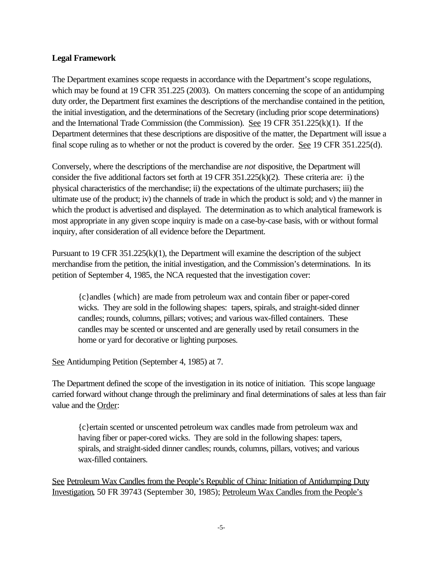# **Legal Framework**

The Department examines scope requests in accordance with the Department's scope regulations, which may be found at 19 CFR 351.225 (2003). On matters concerning the scope of an antidumping duty order, the Department first examines the descriptions of the merchandise contained in the petition, the initial investigation, and the determinations of the Secretary (including prior scope determinations) and the International Trade Commission (the Commission). See 19 CFR 351.225(k)(1). If the Department determines that these descriptions are dispositive of the matter, the Department will issue a final scope ruling as to whether or not the product is covered by the order. See 19 CFR 351.225(d).

Conversely, where the descriptions of the merchandise are *not* dispositive, the Department will consider the five additional factors set forth at 19 CFR  $351.225(k)(2)$ . These criteria are: i) the physical characteristics of the merchandise; ii) the expectations of the ultimate purchasers; iii) the ultimate use of the product; iv) the channels of trade in which the product is sold; and v) the manner in which the product is advertised and displayed. The determination as to which analytical framework is most appropriate in any given scope inquiry is made on a case-by-case basis, with or without formal inquiry, after consideration of all evidence before the Department.

Pursuant to 19 CFR 351.225(k)(1), the Department will examine the description of the subject merchandise from the petition, the initial investigation, and the Commission's determinations. In its petition of September 4, 1985, the NCA requested that the investigation cover:

{c}andles {which} are made from petroleum wax and contain fiber or paper-cored wicks. They are sold in the following shapes: tapers, spirals, and straight-sided dinner candles; rounds, columns, pillars; votives; and various wax-filled containers. These candles may be scented or unscented and are generally used by retail consumers in the home or yard for decorative or lighting purposes.

See Antidumping Petition (September 4, 1985) at 7.

The Department defined the scope of the investigation in its notice of initiation. This scope language carried forward without change through the preliminary and final determinations of sales at less than fair value and the Order:

{c}ertain scented or unscented petroleum wax candles made from petroleum wax and having fiber or paper-cored wicks. They are sold in the following shapes: tapers, spirals, and straight-sided dinner candles; rounds, columns, pillars, votives; and various wax-filled containers.

See Petroleum Wax Candles from the People's Republic of China: Initiation of Antidumping Duty Investigation, 50 FR 39743 (September 30, 1985); Petroleum Wax Candles from the People's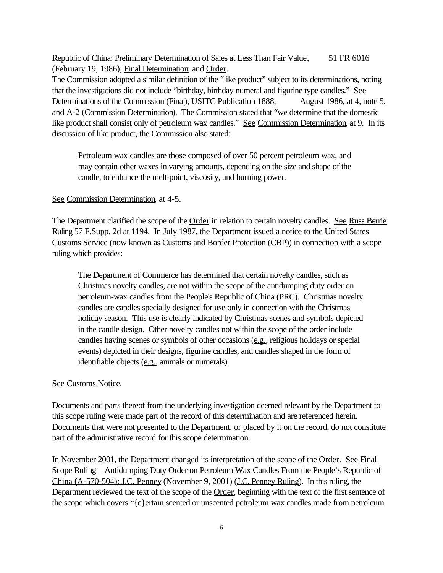Republic of China: Preliminary Determination of Sales at Less Than Fair Value, 51 FR 6016 (February 19, 1986); Final Determination; and Order.

The Commission adopted a similar definition of the "like product" subject to its determinations, noting that the investigations did not include "birthday, birthday numeral and figurine type candles." See Determinations of the Commission (Final), USITC Publication 1888, August 1986, at 4, note 5, and A-2 (Commission Determination). The Commission stated that "we determine that the domestic like product shall consist only of petroleum wax candles." See Commission Determination, at 9. In its discussion of like product, the Commission also stated:

Petroleum wax candles are those composed of over 50 percent petroleum wax, and may contain other waxes in varying amounts, depending on the size and shape of the candle, to enhance the melt-point, viscosity, and burning power.

### See Commission Determination, at 4-5.

The Department clarified the scope of the Order in relation to certain novelty candles. See Russ Berrie Ruling 57 F.Supp. 2d at 1194. In July 1987, the Department issued a notice to the United States Customs Service (now known as Customs and Border Protection (CBP)) in connection with a scope ruling which provides:

The Department of Commerce has determined that certain novelty candles, such as Christmas novelty candles, are not within the scope of the antidumping duty order on petroleum-wax candles from the People's Republic of China (PRC). Christmas novelty candles are candles specially designed for use only in connection with the Christmas holiday season. This use is clearly indicated by Christmas scenes and symbols depicted in the candle design. Other novelty candles not within the scope of the order include candles having scenes or symbols of other occasions (e.g., religious holidays or special events) depicted in their designs, figurine candles, and candles shaped in the form of identifiable objects (e.g., animals or numerals).

#### See Customs Notice.

Documents and parts thereof from the underlying investigation deemed relevant by the Department to this scope ruling were made part of the record of this determination and are referenced herein. Documents that were not presented to the Department, or placed by it on the record, do not constitute part of the administrative record for this scope determination.

In November 2001, the Department changed its interpretation of the scope of the Order. See Final Scope Ruling – Antidumping Duty Order on Petroleum Wax Candles From the People's Republic of China (A-570-504); J.C. Penney (November 9, 2001) (J.C. Penney Ruling). In this ruling, the Department reviewed the text of the scope of the Order, beginning with the text of the first sentence of the scope which covers "{c}ertain scented or unscented petroleum wax candles made from petroleum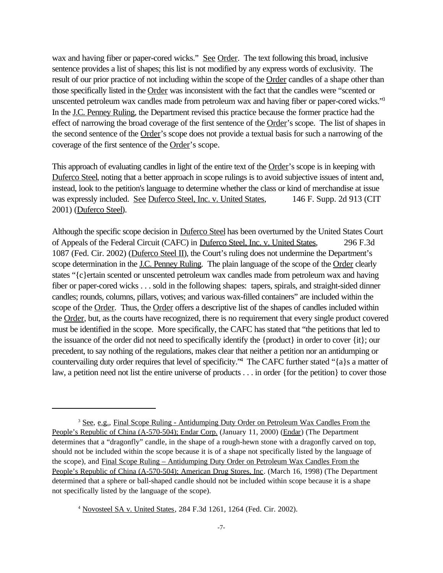wax and having fiber or paper-cored wicks." See Order. The text following this broad, inclusive sentence provides a list of shapes; this list is not modified by any express words of exclusivity. The result of our prior practice of not including within the scope of the Order candles of a shape other than those specifically listed in the Order was inconsistent with the fact that the candles were "scented or unscented petroleum wax candles made from petroleum wax and having fiber or paper-cored wicks."<sup>3</sup> In the J.C. Penney Ruling, the Department revised this practice because the former practice had the effect of narrowing the broad coverage of the first sentence of the Order's scope. The list of shapes in the second sentence of the Order's scope does not provide a textual basis for such a narrowing of the coverage of the first sentence of the Order's scope.

This approach of evaluating candles in light of the entire text of the Order's scope is in keeping with Duferco Steel, noting that a better approach in scope rulings is to avoid subjective issues of intent and, instead, look to the petition's language to determine whether the class or kind of merchandise at issue was expressly included. See Duferco Steel, Inc. v. United States, 146 F. Supp. 2d 913 (CIT 2001) (Duferco Steel).

Although the specific scope decision in Duferco Steel has been overturned by the United States Court of Appeals of the Federal Circuit (CAFC) in Duferco Steel, Inc. v. United States, 296 F.3d 1087 (Fed. Cir. 2002) (Duferco Steel II), the Court's ruling does not undermine the Department's scope determination in the J.C. Penney Ruling. The plain language of the scope of the Order clearly states "{c}ertain scented or unscented petroleum wax candles made from petroleum wax and having fiber or paper-cored wicks . . . sold in the following shapes: tapers, spirals, and straight-sided dinner candles; rounds, columns, pillars, votives; and various wax-filled containers" are included within the scope of the Order. Thus, the Order offers a descriptive list of the shapes of candles included within the Order, but, as the courts have recognized, there is no requirement that every single product covered must be identified in the scope. More specifically, the CAFC has stated that "the petitions that led to the issuance of the order did not need to specifically identify the {product} in order to cover {it}; our precedent, to say nothing of the regulations, makes clear that neither a petition nor an antidumping or countervailing duty order requires that level of specificity."<sup>4</sup> The CAFC further stated "{a}s a matter of law, a petition need not list the entire universe of products . . . in order {for the petition} to cover those

<sup>3</sup> See, e.g., Final Scope Ruling - Antidumping Duty Order on Petroleum Wax Candles From the People's Republic of China (A-570-504); Endar Corp. (January 11, 2000) (Endar) (The Department determines that a "dragonfly" candle, in the shape of a rough-hewn stone with a dragonfly carved on top, should not be included within the scope because it is of a shape not specifically listed by the language of the scope), and Final Scope Ruling – Antidumping Duty Order on Petroleum Wax Candles From the People's Republic of China (A-570-504); American Drug Stores, Inc. (March 16, 1998) (The Department determined that a sphere or ball-shaped candle should not be included within scope because it is a shape not specifically listed by the language of the scope).

<sup>4</sup> Novosteel SA v. United States, 284 F.3d 1261, 1264 (Fed. Cir. 2002).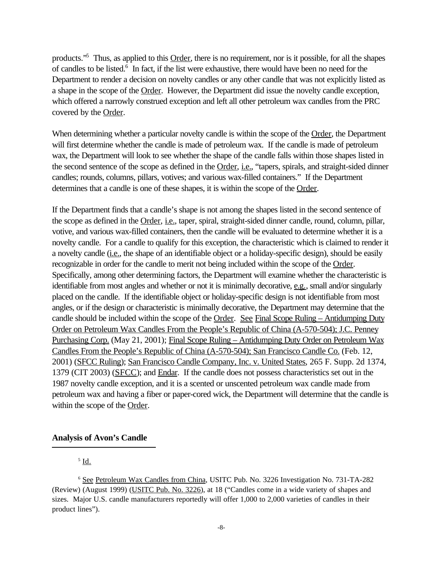products."<sup>5</sup> Thus, as applied to this Order, there is no requirement, nor is it possible, for all the shapes of candles to be listed.<sup>6</sup> In fact, if the list were exhaustive, there would have been no need for the Department to render a decision on novelty candles or any other candle that was not explicitly listed as a shape in the scope of the Order. However, the Department did issue the novelty candle exception, which offered a narrowly construed exception and left all other petroleum wax candles from the PRC covered by the Order.

When determining whether a particular novelty candle is within the scope of the Order, the Department will first determine whether the candle is made of petroleum wax. If the candle is made of petroleum wax, the Department will look to see whether the shape of the candle falls within those shapes listed in the second sentence of the scope as defined in the Order, *i.e.*, "tapers, spirals, and straight-sided dinner candles; rounds, columns, pillars, votives; and various wax-filled containers." If the Department determines that a candle is one of these shapes, it is within the scope of the Order.

If the Department finds that a candle's shape is not among the shapes listed in the second sentence of the scope as defined in the Order, *i.e.*, taper, spiral, straight-sided dinner candle, round, column, pillar, votive, and various wax-filled containers, then the candle will be evaluated to determine whether it is a novelty candle. For a candle to qualify for this exception, the characteristic which is claimed to render it a novelty candle (*i.e.*, the shape of an identifiable object or a holiday-specific design), should be easily recognizable in order for the candle to merit not being included within the scope of the Order. Specifically, among other determining factors, the Department will examine whether the characteristic is identifiable from most angles and whether or not it is minimally decorative, e.g., small and/or singularly placed on the candle. If the identifiable object or holiday-specific design is not identifiable from most angles, or if the design or characteristic is minimally decorative, the Department may determine that the candle should be included within the scope of the Order. See Final Scope Ruling – Antidumping Duty Order on Petroleum Wax Candles From the People's Republic of China (A-570-504); J.C. Penney Purchasing Corp. (May 21, 2001); Final Scope Ruling – Antidumping Duty Order on Petroleum Wax Candles From the People's Republic of China (A-570-504); San Francisco Candle Co. (Feb. 12, 2001) (SFCC Ruling); San Francisco Candle Company, Inc. v. United States, 265 F. Supp. 2d 1374, 1379 (CIT 2003) (SFCC); and Endar. If the candle does not possess characteristics set out in the 1987 novelty candle exception, and it is a scented or unscented petroleum wax candle made from petroleum wax and having a fiber or paper-cored wick, the Department will determine that the candle is within the scope of the Order.

### **Analysis of Avon's Candle**

 $^5$  <u>Id.</u>

<sup>6</sup> See Petroleum Wax Candles from China, USITC Pub. No. 3226 Investigation No. 731-TA-282 (Review) (August 1999) (USITC Pub. No. 3226), at 18 ("Candles come in a wide variety of shapes and sizes. Major U.S. candle manufacturers reportedly will offer 1,000 to 2,000 varieties of candles in their product lines").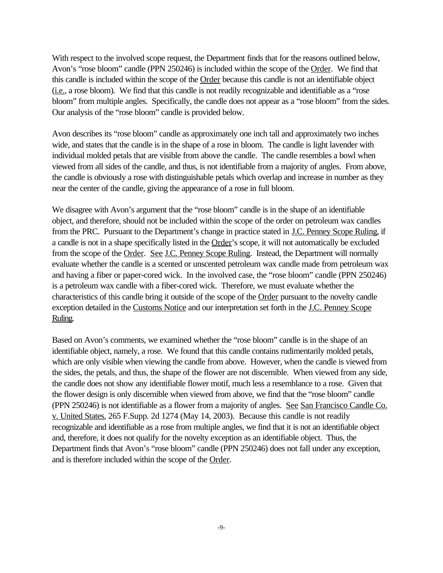With respect to the involved scope request, the Department finds that for the reasons outlined below, Avon's "rose bloom" candle (PPN 250246) is included within the scope of the Order. We find that this candle is included within the scope of the Order because this candle is not an identifiable object (i.e., a rose bloom). We find that this candle is not readily recognizable and identifiable as a "rose bloom" from multiple angles. Specifically, the candle does not appear as a "rose bloom" from the sides. Our analysis of the "rose bloom" candle is provided below.

Avon describes its "rose bloom" candle as approximately one inch tall and approximately two inches wide, and states that the candle is in the shape of a rose in bloom. The candle is light lavender with individual molded petals that are visible from above the candle. The candle resembles a bowl when viewed from all sides of the candle, and thus, is not identifiable from a majority of angles. From above, the candle is obviously a rose with distinguishable petals which overlap and increase in number as they near the center of the candle, giving the appearance of a rose in full bloom.

We disagree with Avon's argument that the "rose bloom" candle is in the shape of an identifiable object, and therefore, should not be included within the scope of the order on petroleum wax candles from the PRC. Pursuant to the Department's change in practice stated in J.C. Penney Scope Ruling, if a candle is not in a shape specifically listed in the Order's scope, it will not automatically be excluded from the scope of the Order. See J.C. Penney Scope Ruling. Instead, the Department will normally evaluate whether the candle is a scented or unscented petroleum wax candle made from petroleum wax and having a fiber or paper-cored wick. In the involved case, the "rose bloom" candle (PPN 250246) is a petroleum wax candle with a fiber-cored wick. Therefore, we must evaluate whether the characteristics of this candle bring it outside of the scope of the Order pursuant to the novelty candle exception detailed in the Customs Notice and our interpretation set forth in the J.C. Penney Scope Ruling.

Based on Avon's comments, we examined whether the "rose bloom" candle is in the shape of an identifiable object, namely, a rose. We found that this candle contains rudimentarily molded petals, which are only visible when viewing the candle from above. However, when the candle is viewed from the sides, the petals, and thus, the shape of the flower are not discernible. When viewed from any side, the candle does not show any identifiable flower motif, much less a resemblance to a rose. Given that the flower design is only discernible when viewed from above, we find that the "rose bloom" candle (PPN 250246) is not identifiable as a flower from a majority of angles. See San Francisco Candle Co. v. United States, 265 F.Supp. 2d 1274 (May 14, 2003). Because this candle is not readily recognizable and identifiable as a rose from multiple angles, we find that it is not an identifiable object and, therefore, it does not qualify for the novelty exception as an identifiable object. Thus, the Department finds that Avon's "rose bloom" candle (PPN 250246) does not fall under any exception, and is therefore included within the scope of the Order.